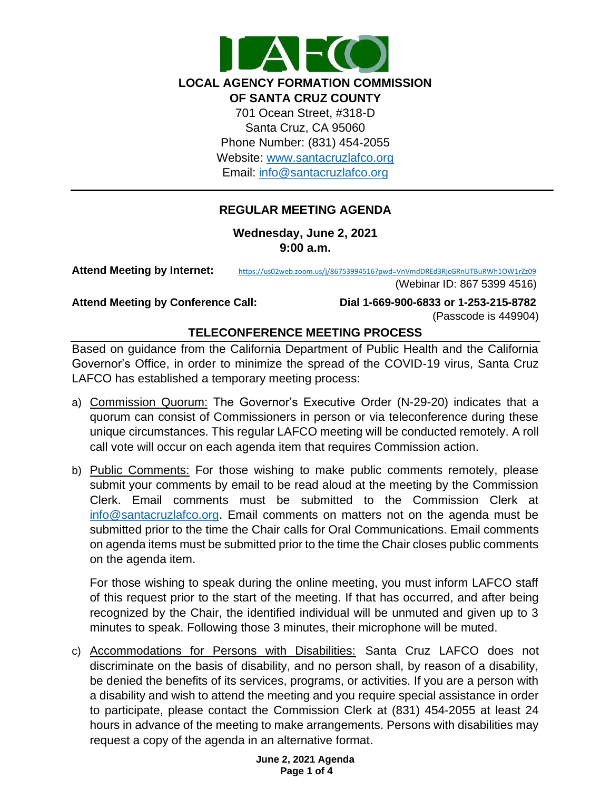

# **REGULAR MEETING AGENDA**

**Wednesday, June 2, 2021 9:00 a.m.**

**Attend Meeting by Internet:** <https://us02web.zoom.us/j/86753994516?pwd=VnVmdDREd3RjcGRnUTBuRWh1OW1rZz09>

(Webinar ID: 867 5399 4516)

**Attend Meeting by Conference Call: Dial 1-669-900-6833 or 1-253-215-8782**  (Passcode is 449904)

# **TELECONFERENCE MEETING PROCESS**

Based on guidance from the California Department of Public Health and the California Governor's Office, in order to minimize the spread of the COVID-19 virus, Santa Cruz LAFCO has established a temporary meeting process:

- a) Commission Quorum: The Governor's Executive Order (N-29-20) indicates that a quorum can consist of Commissioners in person or via teleconference during these unique circumstances. This regular LAFCO meeting will be conducted remotely. A roll call vote will occur on each agenda item that requires Commission action.
- b) Public Comments: For those wishing to make public comments remotely, please submit your comments by email to be read aloud at the meeting by the Commission Clerk. Email comments must be submitted to the Commission Clerk at [info@santacruzlafco.org.](mailto:info@santacruzlafco.org) Email comments on matters not on the agenda must be submitted prior to the time the Chair calls for Oral Communications. Email comments on agenda items must be submitted prior to the time the Chair closes public comments on the agenda item.

For those wishing to speak during the online meeting, you must inform LAFCO staff of this request prior to the start of the meeting. If that has occurred, and after being recognized by the Chair, the identified individual will be unmuted and given up to 3 minutes to speak. Following those 3 minutes, their microphone will be muted.

c) Accommodations for Persons with Disabilities: Santa Cruz LAFCO does not discriminate on the basis of disability, and no person shall, by reason of a disability, be denied the benefits of its services, programs, or activities. If you are a person with a disability and wish to attend the meeting and you require special assistance in order to participate, please contact the Commission Clerk at (831) 454-2055 at least 24 hours in advance of the meeting to make arrangements. Persons with disabilities may request a copy of the agenda in an alternative format.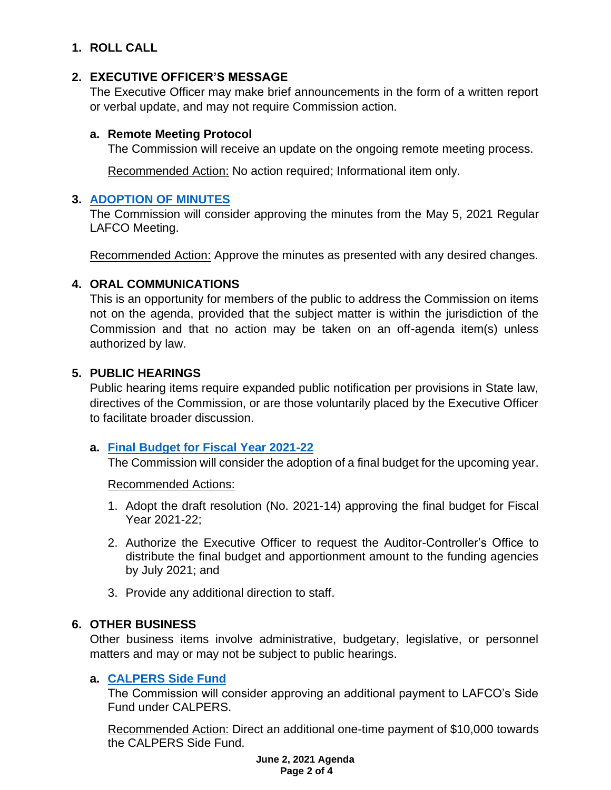# **1. ROLL CALL**

# **2. EXECUTIVE OFFICER'S MESSAGE**

The Executive Officer may make brief announcements in the form of a written report or verbal update, and may not require Commission action.

### **a. Remote Meeting Protocol**

The Commission will receive an update on the ongoing remote meeting process.

Recommended Action: No action required; Informational item only.

# **3. [ADOPTION OF MINUTES](https://www.santacruzlafco.org/wp-content/uploads/2021/05/3.0-Draft-Minutes-May-5-Meeting.pdf)**

The Commission will consider approving the minutes from the May 5, 2021 Regular LAFCO Meeting.

Recommended Action: Approve the minutes as presented with any desired changes.

# **4. ORAL COMMUNICATIONS**

This is an opportunity for members of the public to address the Commission on items not on the agenda, provided that the subject matter is within the jurisdiction of the Commission and that no action may be taken on an off-agenda item(s) unless authorized by law.

# **5. PUBLIC HEARINGS**

Public hearing items require expanded public notification per provisions in State law, directives of the Commission, or are those voluntarily placed by the Executive Officer to facilitate broader discussion.

### **a. Final [Budget for Fiscal Year 2021-22](https://www.santacruzlafco.org/wp-content/uploads/2021/05/5a.0-Final-Budget-Staff-Report_Hyperlink.pdf)**

The Commission will consider the adoption of a final budget for the upcoming year.

Recommended Actions:

- 1. Adopt the draft resolution (No. 2021-14) approving the final budget for Fiscal Year 2021-22;
- 2. Authorize the Executive Officer to request the Auditor-Controller's Office to distribute the final budget and apportionment amount to the funding agencies by July 2021; and
- 3. Provide any additional direction to staff.

# **6. OTHER BUSINESS**

Other business items involve administrative, budgetary, legislative, or personnel matters and may or may not be subject to public hearings.

# **a. [CALPERS Side Fund](https://www.santacruzlafco.org/wp-content/uploads/2021/05/6a.0-CALPERS-Side-Fund-Staff-Report_Hyperlink.pdf)**

The Commission will consider approving an additional payment to LAFCO's Side Fund under CALPERS.

Recommended Action: Direct an additional one-time payment of \$10,000 towards the CALPERS Side Fund.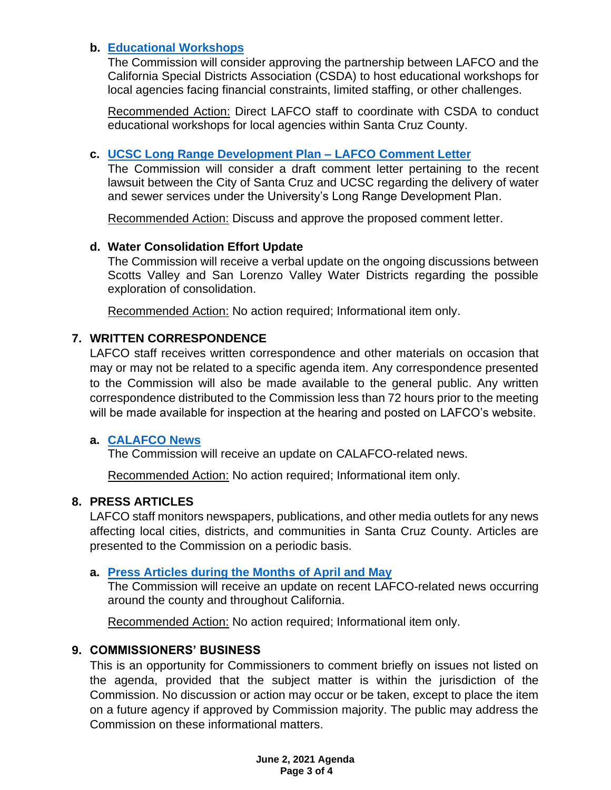# **b. [Educational Workshops](https://www.santacruzlafco.org/wp-content/uploads/2021/05/6b.0-SD-Workshops-Staff-Report_Hyperlink.pdf)**

The Commission will consider approving the partnership between LAFCO and the California Special Districts Association (CSDA) to host educational workshops for local agencies facing financial constraints, limited staffing, or other challenges.

Recommended Action: Direct LAFCO staff to coordinate with CSDA to conduct educational workshops for local agencies within Santa Cruz County.

# **c. [UCSC Long Range Development Plan –](https://www.santacruzlafco.org/wp-content/uploads/2021/05/6c.0-UCSC-Comment-Letter-Staff-Report_Hyperlink_.pdf) LAFCO Comment Letter**

The Commission will consider a draft comment letter pertaining to the recent lawsuit between the City of Santa Cruz and UCSC regarding the delivery of water and sewer services under the University's Long Range Development Plan.

Recommended Action: Discuss and approve the proposed comment letter.

### **d. Water Consolidation Effort Update**

The Commission will receive a verbal update on the ongoing discussions between Scotts Valley and San Lorenzo Valley Water Districts regarding the possible exploration of consolidation.

Recommended Action: No action required; Informational item only.

# **7. WRITTEN CORRESPONDENCE**

LAFCO staff receives written correspondence and other materials on occasion that may or may not be related to a specific agenda item. Any correspondence presented to the Commission will also be made available to the general public. Any written correspondence distributed to the Commission less than 72 hours prior to the meeting will be made available for inspection at the hearing and posted on LAFCO's website.

### **a. [CALAFCO News](https://www.santacruzlafco.org/wp-content/uploads/2021/05/7a.0-Written-Correspondence-Staff-Report_Hyperlink.pdf)**

The Commission will receive an update on CALAFCO-related news.

Recommended Action: No action required; Informational item only.

### **8. PRESS ARTICLES**

LAFCO staff monitors newspapers, publications, and other media outlets for any news affecting local cities, districts, and communities in Santa Cruz County. Articles are presented to the Commission on a periodic basis.

### **a. [Press Articles during the Months of April](https://www.santacruzlafco.org/wp-content/uploads/2021/05/8a.0-Press-Articles-Staff-Report_Hyperlink..pdf) and May**

The Commission will receive an update on recent LAFCO-related news occurring around the county and throughout California.

Recommended Action: No action required; Informational item only.

### **9. COMMISSIONERS' BUSINESS**

This is an opportunity for Commissioners to comment briefly on issues not listed on the agenda, provided that the subject matter is within the jurisdiction of the Commission. No discussion or action may occur or be taken, except to place the item on a future agency if approved by Commission majority. The public may address the Commission on these informational matters.